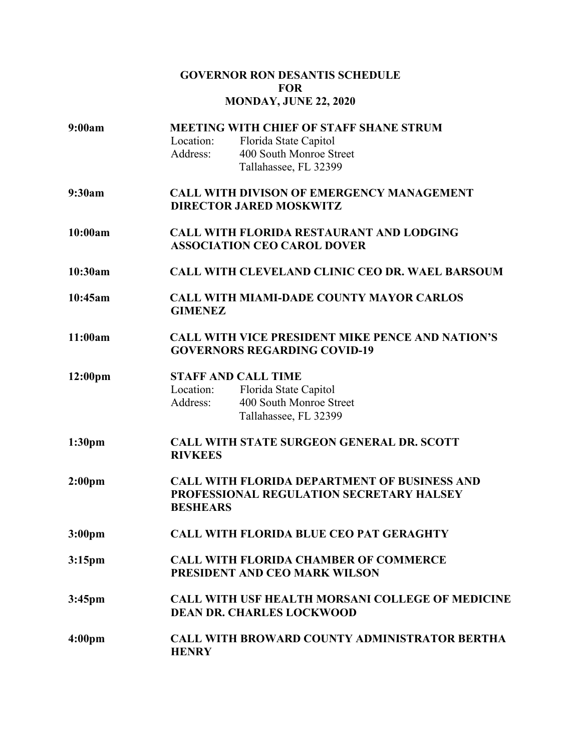# **GOVERNOR RON DESANTIS SCHEDULE FOR MONDAY, JUNE 22, 2020**

| 9:00am              | <b>MEETING WITH CHIEF OF STAFF SHANE STRUM</b>          |                                                         |
|---------------------|---------------------------------------------------------|---------------------------------------------------------|
|                     | Location:                                               | Florida State Capitol                                   |
|                     | Address:                                                | 400 South Monroe Street                                 |
|                     |                                                         | Tallahassee, FL 32399                                   |
| 9:30am              | <b>CALL WITH DIVISON OF EMERGENCY MANAGEMENT</b>        |                                                         |
|                     | <b>DIRECTOR JARED MOSKWITZ</b>                          |                                                         |
| 10:00am             |                                                         | <b>CALL WITH FLORIDA RESTAURANT AND LODGING</b>         |
|                     |                                                         | <b>ASSOCIATION CEO CAROL DOVER</b>                      |
| 10:30am             |                                                         | <b>CALL WITH CLEVELAND CLINIC CEO DR. WAEL BARSOUM</b>  |
| 10:45am             |                                                         | <b>CALL WITH MIAMI-DADE COUNTY MAYOR CARLOS</b>         |
|                     | <b>GIMENEZ</b>                                          |                                                         |
| 11:00am             |                                                         | <b>CALL WITH VICE PRESIDENT MIKE PENCE AND NATION'S</b> |
|                     | <b>GOVERNORS REGARDING COVID-19</b>                     |                                                         |
| 12:00 <sub>pm</sub> |                                                         | <b>STAFF AND CALL TIME</b>                              |
|                     | Location:                                               | Florida State Capitol                                   |
|                     | Address:                                                | 400 South Monroe Street                                 |
|                     |                                                         | Tallahassee, FL 32399                                   |
| 1:30 <sub>pm</sub>  | <b>CALL WITH STATE SURGEON GENERAL DR. SCOTT</b>        |                                                         |
|                     | <b>RIVKEES</b>                                          |                                                         |
| 2:00 <sub>pm</sub>  |                                                         | <b>CALL WITH FLORIDA DEPARTMENT OF BUSINESS AND</b>     |
|                     | PROFESSIONAL REGULATION SECRETARY HALSEY                |                                                         |
|                     | <b>BESHEARS</b>                                         |                                                         |
| 3:00 <sub>pm</sub>  | <b>CALL WITH FLORIDA BLUE CEO PAT GERAGHTY</b>          |                                                         |
| 3:15 <sub>pm</sub>  | <b>CALL WITH FLORIDA CHAMBER OF COMMERCE</b>            |                                                         |
|                     | PRESIDENT AND CEO MARK WILSON                           |                                                         |
| $3:45$ pm           | <b>CALL WITH USF HEALTH MORSANI COLLEGE OF MEDICINE</b> |                                                         |
|                     | <b>DEAN DR. CHARLES LOCKWOOD</b>                        |                                                         |
| 4:00 <sub>pm</sub>  |                                                         | <b>CALL WITH BROWARD COUNTY ADMINISTRATOR BERTHA</b>    |
|                     | <b>HENRY</b>                                            |                                                         |